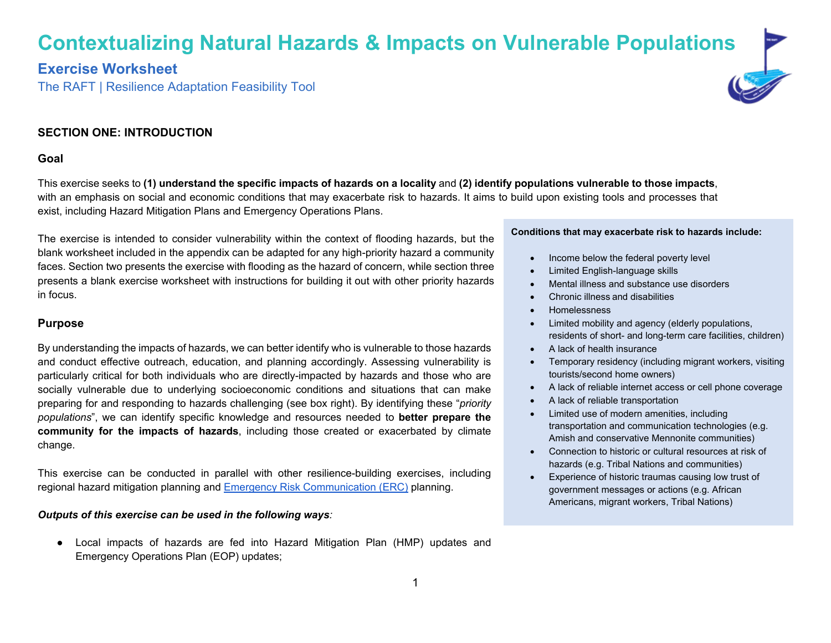# **Contextualizing Natural Hazards & Impacts on Vulnerable Populations**

# **Exercise Worksheet**

The RAFT | Resilience Adaptation Feasibility Tool



## **SECTION ONE: INTRODUCTION**

#### **Goal**

This exercise seeks to **(1) understand the specific impacts of hazards on a locality** and **(2) identify populations vulnerable to those impacts**, with an emphasis on social and economic conditions that may exacerbate risk to hazards. It aims to build upon existing tools and processes that exist, including Hazard Mitigation Plans and Emergency Operations Plans.

The exercise is intended to consider vulnerability within the context of flooding hazards, but the blank worksheet included in the appendix can be adapted for any high-priority hazard a community faces. Section two presents the exercise with flooding as the hazard of concern, while section three presents a blank exercise worksheet with instructions for building it out with other priority hazards in focus.

#### **Purpose**

By understanding the impacts of hazards, we can better identify who is vulnerable to those hazards and conduct effective outreach, education, and planning accordingly. Assessing vulnerability is particularly critical for both individuals who are directly-impacted by hazards and those who are socially vulnerable due to underlying socioeconomic conditions and situations that can make preparing for and responding to hazards challenging (see box right). By identifying these "*priority populations*", we can identify specific knowledge and resources needed to **better prepare the community for the impacts of hazards**, including those created or exacerbated by climate change.

This exercise can be conducted in parallel with other resilience-building exercises, including regional hazard mitigation planning and [Emergency Risk Communication](https://raft.ien.virginia.edu/raft-resilience-research-policy-products) [\(ERC\)](https://raft.ien.virginia.edu/raft-resilience-research-policy-products) planning.

#### *Outputs of this exercise can be used in the following ways:*

● Local impacts of hazards are fed into Hazard Mitigation Plan (HMP) updates and Emergency Operations Plan (EOP) updates;

#### **Conditions that may exacerbate risk to hazards include:**

- Income below the federal poverty level
- Limited English-language skills
- Mental illness and substance use disorders
- Chronic illness and disabilities
- Homelessness
- Limited mobility and agency (elderly populations, residents of short- and long-term care facilities, children)
- A lack of health insurance
- Temporary residency (including migrant workers, visiting tourists/second home owners)
- A lack of reliable internet access or cell phone coverage
- A lack of reliable transportation
- Limited use of modern amenities, including transportation and communication technologies (e.g. Amish and conservative Mennonite communities)
- Connection to historic or cultural resources at risk of hazards (e.g. Tribal Nations and communities)
- Experience of historic traumas causing low trust of government messages or actions (e.g. African Americans, migrant workers, Tribal Nations)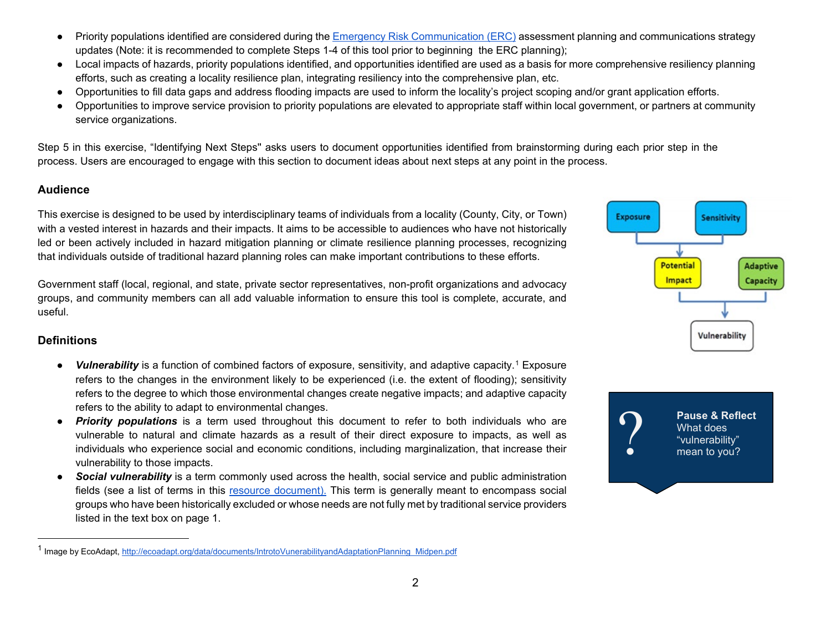- Priority populations identified are considered during the **Emergency Risk Communication (ERC)** assessment planning and communications strategy updates (Note: it is recommended to complete Steps 1-4 of this tool prior to beginning the ERC planning);
- Local impacts of hazards, priority populations identified, and opportunities identified are used as a basis for more comprehensive resiliency planning efforts, such as creating a locality resilience plan, integrating resiliency into the comprehensive plan, etc.
- Opportunities to fill data gaps and address flooding impacts are used to inform the locality's project scoping and/or grant application efforts.
- Opportunities to improve service provision to priority populations are elevated to appropriate staff within local government, or partners at community service organizations.

Step 5 in this exercise, "Identifying Next Steps'' asks users to document opportunities identified from brainstorming during each prior step in the process. Users are encouraged to engage with this section to document ideas about next steps at any point in the process.

## **Audience**

This exercise is designed to be used by interdisciplinary teams of individuals from a locality (County, City, or Town) with a vested interest in hazards and their impacts. It aims to be accessible to audiences who have not historically led or been actively included in hazard mitigation planning or climate resilience planning processes, recognizing that individuals outside of traditional hazard planning roles can make important contributions to these efforts.

Government staff (local, regional, and state, private sector representatives, non-profit organizations and advocacy groups, and community members can all add valuable information to ensure this tool is complete, accurate, and useful.

## **Definitions**

- *Vulnerability* is a function of combined factors of exposure, sensitivity, and adaptive capacity.<sup>[1](#page-1-0)</sup> Exposure refers to the changes in the environment likely to be experienced (i.e. the extent of flooding); sensitivity refers to the degree to which those environmental changes create negative impacts; and adaptive capacity refers to the ability to adapt to environmental changes.
- *Priority populations* is a term used throughout this document to refer to both individuals who are vulnerable to natural and climate hazards as a result of their direct exposure to impacts, as well as individuals who experience social and economic conditions, including marginalization, that increase their vulnerability to those impacts.
- Social vulnerability is a term commonly used across the health, social service and public administration fields (see a list of terms in this [resource docu](https://drive.google.com/file/d/1B-Kq0uCGhptmyJbUs-x3e121kUBSFLID/view?usp=sharing)ment). This term is generally meant to encompass social groups who have been historically excluded or whose needs are not fully met by traditional service providers listed in the text box on page 1.

<span id="page-1-0"></span>

**Pause & Reflect**<br>
What does<br>
"vulnerability"<br>
mean to you? What does "vulnerability" mean to you?

<sup>&</sup>lt;sup>1</sup> Image by EcoAdapt[, http://ecoadapt.org/data/documents/IntrotoVunerabilityandAdaptationPlanning\\_Midpen.pdf](http://ecoadapt.org/data/documents/IntrotoVunerabilityandAdaptationPlanning_Midpen.pdf)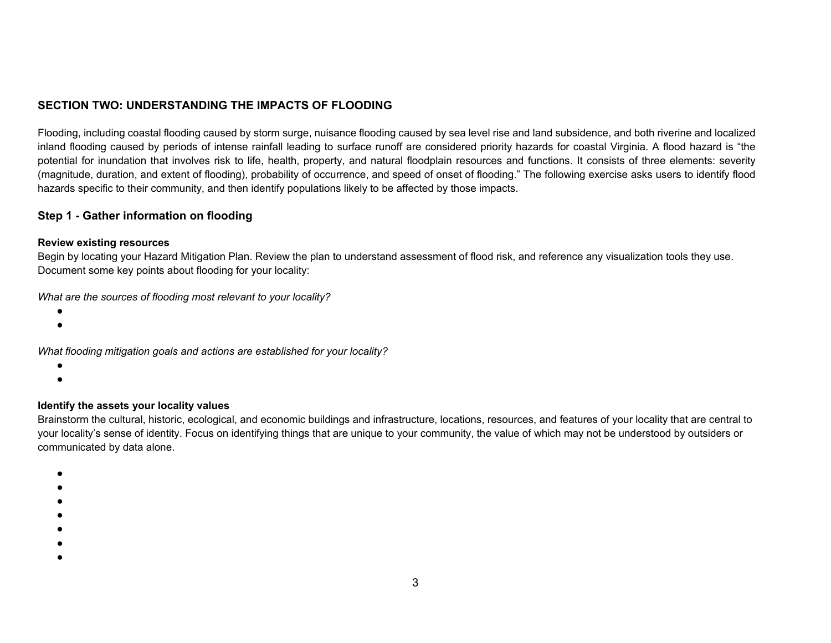# **SECTION TWO: UNDERSTANDING THE IMPACTS OF FLOODING**

Flooding, including coastal flooding caused by storm surge, nuisance flooding caused by sea level rise and land subsidence, and both riverine and localized inland flooding caused by periods of intense rainfall leading to surface runoff are considered priority hazards for coastal Virginia. A flood hazard is "the potential for inundation that involves risk to life, health, property, and natural floodplain resources and functions. It consists of three elements: severity (magnitude, duration, and extent of flooding), probability of occurrence, and speed of onset of flooding." The following exercise asks users to identify flood hazards specific to their community, and then identify populations likely to be affected by those impacts.

### **Step 1 - Gather information on flooding**

#### **Review existing resources**

Begin by locating your Hazard Mitigation Plan. Review the plan to understand assessment of flood risk, and reference any visualization tools they use. Document some key points about flooding for your locality:

*What are the sources of flooding most relevant to your locality?*

- ●
- ●

*What flooding mitigation goals and actions are established for your locality?*

- ●
- ●

### **Identify the assets your locality values**

Brainstorm the cultural, historic, ecological, and economic buildings and infrastructure, locations, resources, and features of your locality that are central to your locality's sense of identity. Focus on identifying things that are unique to your community, the value of which may not be understood by outsiders or communicated by data alone.

- ●
- ●
- ●
- 
- ●
- ●
- ●
- ●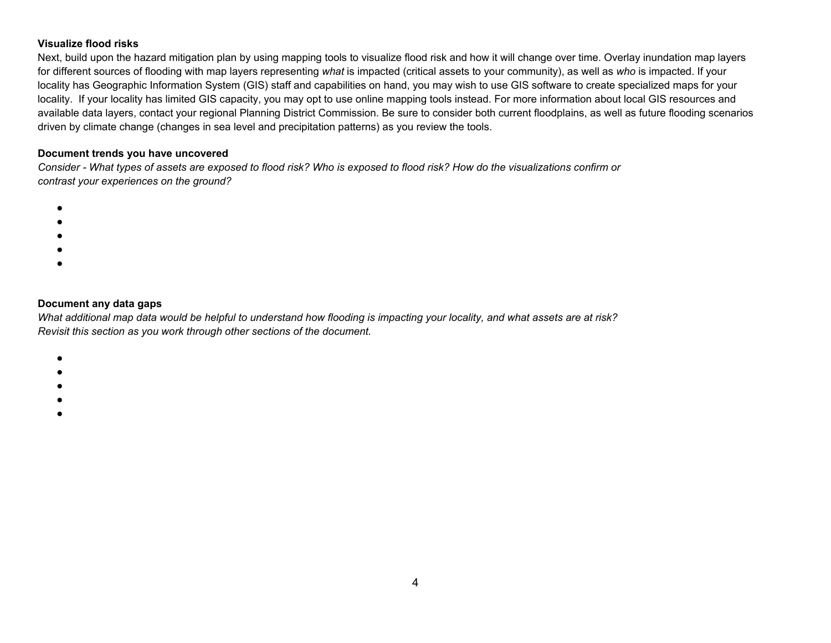### **Visualize flood risks**

Next, build upon the hazard mitigation plan by using mapping tools to visualize flood risk and how it will change over time. Overlay inundation map layers for different sources of flooding with map layers representing *what* is impacted (critical assets to your community), as well as *who* is impacted. If your locality has Geographic Information System (GIS) staff and capabilities on hand, you may wish to use GIS software to create specialized maps for your locality. If your locality has limited GIS capacity, you may opt to use online mapping tools instead. For more information about local GIS resources and available data layers, contact your regional Planning District Commission. Be sure to consider both current floodplains, as well as future flooding scenarios driven by climate change (changes in sea level and precipitation patterns) as you review the tools.

#### **Document trends you have uncovered**

*Consider - What types of assets are exposed to flood risk? Who is exposed to flood risk? How do the visualizations confirm or contrast your experiences on the ground?*

- ●
- ●
- ●
- ●
- ●

#### **Document any data gaps**

*What additional map data would be helpful to understand how flooding is impacting your locality, and what assets are at risk? Revisit this section as you work through other sections of the document.* 

- ●
- ●
- ●
- ●
- ●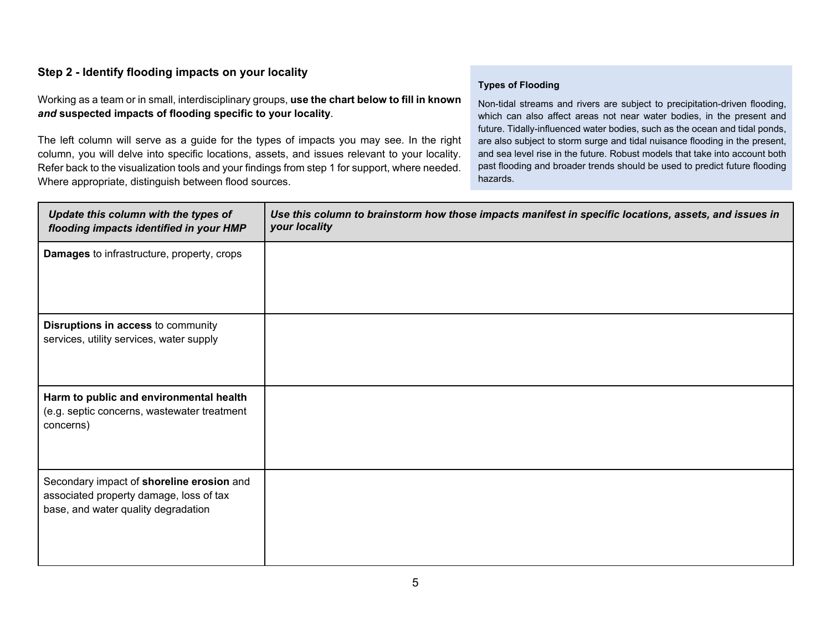# **Step 2 - Identify flooding impacts on your locality**

Working as a team or in small, interdisciplinary groups, **use the chart below to fill in known**  *and* **suspected impacts of flooding specific to your locality**.

The left column will serve as a guide for the types of impacts you may see. In the right column, you will delve into specific locations, assets, and issues relevant to your locality. Refer back to the visualization tools and your findings from step 1 for support, where needed. Where appropriate, distinguish between flood sources.

### **Types of Flooding**

Non-tidal streams and rivers are subject to precipitation-driven flooding, which can also affect areas not near water bodies, in the present and future. Tidally-influenced water bodies, such as the ocean and tidal ponds, are also subject to storm surge and tidal nuisance flooding in the present, and sea level rise in the future. Robust models that take into account both past flooding and broader trends should be used to predict future flooding hazards.

| Update this column with the types of<br>flooding impacts identified in your HMP                                             | Use this column to brainstorm how those impacts manifest in specific locations, assets, and issues in<br>your locality |
|-----------------------------------------------------------------------------------------------------------------------------|------------------------------------------------------------------------------------------------------------------------|
| <b>Damages</b> to infrastructure, property, crops                                                                           |                                                                                                                        |
| Disruptions in access to community<br>services, utility services, water supply                                              |                                                                                                                        |
| Harm to public and environmental health<br>(e.g. septic concerns, wastewater treatment<br>concerns)                         |                                                                                                                        |
| Secondary impact of shoreline erosion and<br>associated property damage, loss of tax<br>base, and water quality degradation |                                                                                                                        |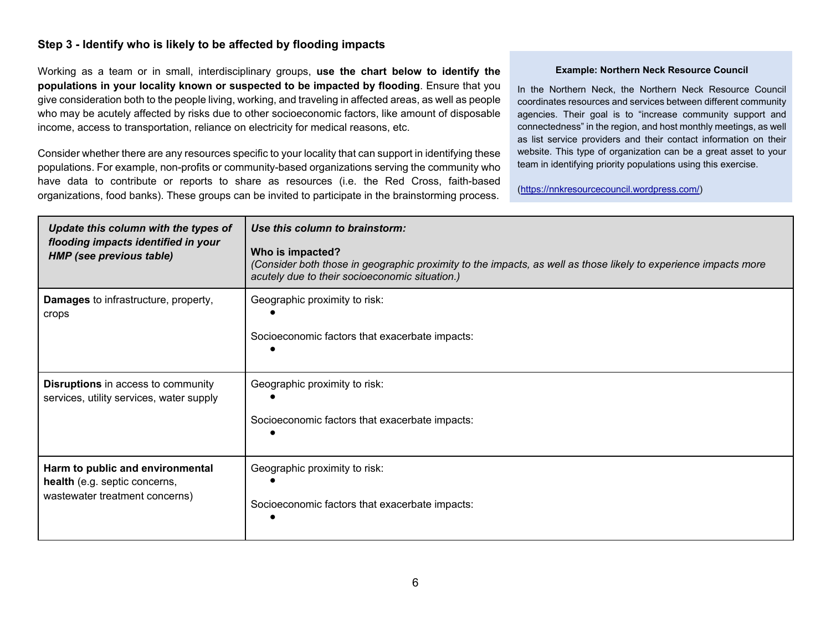## **Step 3 - Identify who is likely to be affected by flooding impacts**

Working as a team or in small, interdisciplinary groups, **use the chart below to identify the populations in your locality known or suspected to be impacted by flooding**. Ensure that you give consideration both to the people living, working, and traveling in affected areas, as well as people who may be acutely affected by risks due to other socioeconomic factors, like amount of disposable income, access to transportation, reliance on electricity for medical reasons, etc.

Consider whether there are any resources specific to your locality that can support in identifying these populations. For example, non-profits or community-based organizations serving the community who have data to contribute or reports to share as resources (i.e. the Red Cross, faith-based organizations, food banks). These groups can be invited to participate in the brainstorming process.

#### **Example: Northern Neck Resource Council**

In the Northern Neck, the Northern Neck Resource Council coordinates resources and services between different community agencies. Their goal is to "increase community support and connectedness" in the region, and host monthly meetings, as well as list service providers and their contact information on their website. This type of organization can be a great asset to your team in identifying priority populations using this exercise.

(https://nnkresourcecouncil.wordpress.com/)

| Update this column with the types of<br>flooding impacts identified in your<br><b>HMP</b> (see previous table) | Use this column to brainstorm:<br>Who is impacted?<br>(Consider both those in geographic proximity to the impacts, as well as those likely to experience impacts more<br>acutely due to their socioeconomic situation.) |
|----------------------------------------------------------------------------------------------------------------|-------------------------------------------------------------------------------------------------------------------------------------------------------------------------------------------------------------------------|
| <b>Damages</b> to infrastructure, property,                                                                    | Geographic proximity to risk:                                                                                                                                                                                           |
| crops                                                                                                          | Socioeconomic factors that exacerbate impacts:                                                                                                                                                                          |
| <b>Disruptions</b> in access to community                                                                      | Geographic proximity to risk:                                                                                                                                                                                           |
| services, utility services, water supply                                                                       | Socioeconomic factors that exacerbate impacts:                                                                                                                                                                          |
| Harm to public and environmental<br>health (e.g. septic concerns,<br>wastewater treatment concerns)            | Geographic proximity to risk:<br>Socioeconomic factors that exacerbate impacts:                                                                                                                                         |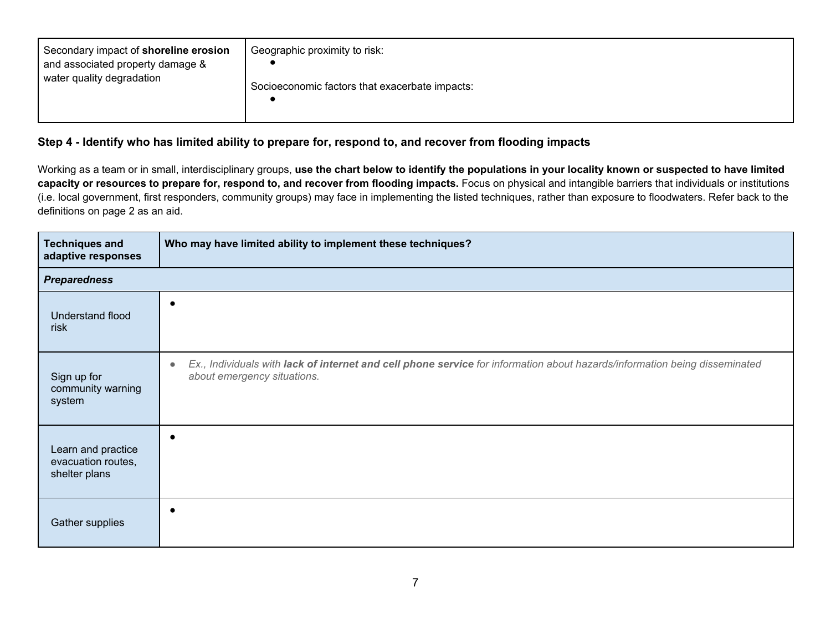| Secondary impact of shoreline erosion<br>and associated property damage &<br>water quality degradation | Geographic proximity to risk:<br>Socioeconomic factors that exacerbate impacts: |
|--------------------------------------------------------------------------------------------------------|---------------------------------------------------------------------------------|
|--------------------------------------------------------------------------------------------------------|---------------------------------------------------------------------------------|

## **Step 4 - Identify who has limited ability to prepare for, respond to, and recover from flooding impacts**

Working as a team or in small, interdisciplinary groups, **use the chart below to identify the populations in your locality known or suspected to have limited**  capacity or resources to prepare for, respond to, and recover from flooding impacts. Focus on physical and intangible barriers that individuals or institutions (i.e. local government, first responders, community groups) may face in implementing the listed techniques, rather than exposure to floodwaters. Refer back to the definitions on page 2 as an aid.

| <b>Techniques and</b><br>adaptive responses               | Who may have limited ability to implement these techniques?                                                                                                            |
|-----------------------------------------------------------|------------------------------------------------------------------------------------------------------------------------------------------------------------------------|
| <b>Preparedness</b>                                       |                                                                                                                                                                        |
| Understand flood<br>risk                                  | $\epsilon$                                                                                                                                                             |
| Sign up for<br>community warning<br>system                | Ex., Individuals with lack of internet and cell phone service for information about hazards/information being disseminated<br>$\bullet$<br>about emergency situations. |
| Learn and practice<br>evacuation routes,<br>shelter plans | $\epsilon$                                                                                                                                                             |
| Gather supplies                                           | c                                                                                                                                                                      |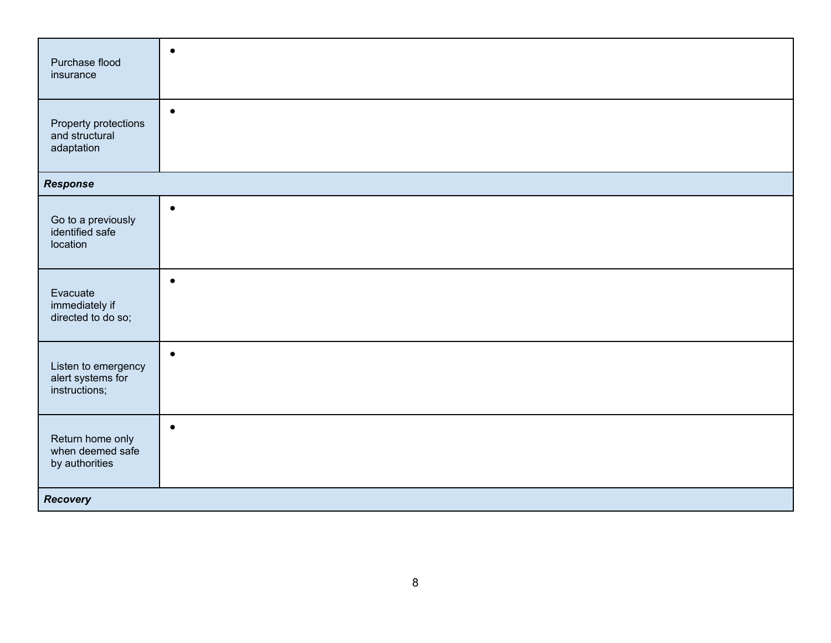| Purchase flood<br>insurance                               | $\bullet$ |
|-----------------------------------------------------------|-----------|
| Property protections<br>and structural<br>adaptation      | $\bullet$ |
| <b>Response</b>                                           |           |
| Go to a previously<br>identified safe<br>location         | $\bullet$ |
| Evacuate<br>immediately if<br>directed to do so;          | $\bullet$ |
| Listen to emergency<br>alert systems for<br>instructions; | $\bullet$ |
| Return home only<br>when deemed safe<br>by authorities    | $\bullet$ |
| <b>Recovery</b>                                           |           |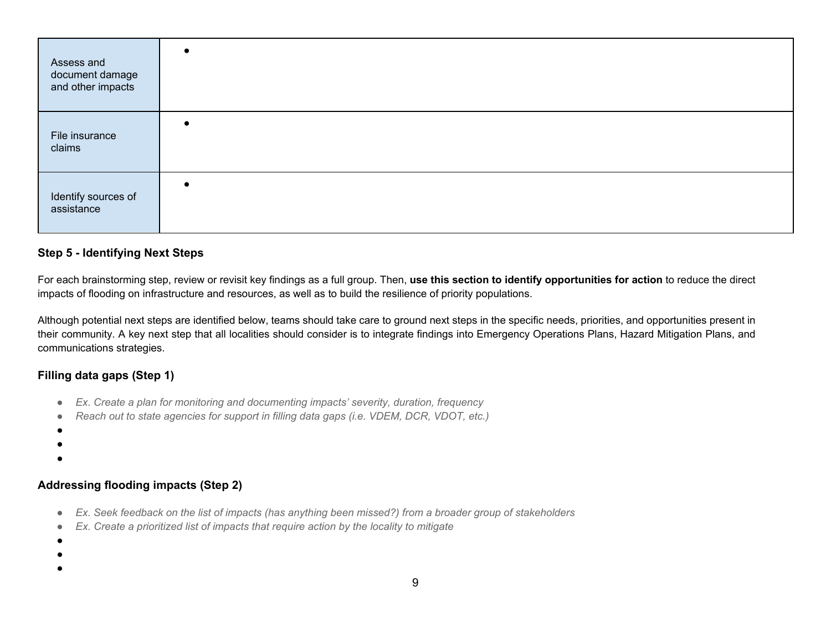| Assess and<br>document damage<br>and other impacts |           |
|----------------------------------------------------|-----------|
| File insurance<br>claims                           | $\bullet$ |
| Identify sources of<br>assistance                  | $\bullet$ |

### **Step 5 - Identifying Next Steps**

For each brainstorming step, review or revisit key findings as a full group. Then, **use this section to identify opportunities for action** to reduce the direct impacts of flooding on infrastructure and resources, as well as to build the resilience of priority populations.

Although potential next steps are identified below, teams should take care to ground next steps in the specific needs, priorities, and opportunities present in their community. A key next step that all localities should consider is to integrate findings into Emergency Operations Plans, Hazard Mitigation Plans, and communications strategies.

# **Filling data gaps (Step 1)**

- *Ex. Create a plan for monitoring and documenting impacts' severity, duration, frequency*
- *Reach out to state agencies for support in filling data gaps (i.e. VDEM, DCR, VDOT, etc.)*
- ●
- ●

●

# **Addressing flooding impacts (Step 2)**

- *Ex. Seek feedback on the list of impacts (has anything been missed?) from a broader group of stakeholders*
- *Ex. Create a prioritized list of impacts that require action by the locality to mitigate*

●

●

- 
- ●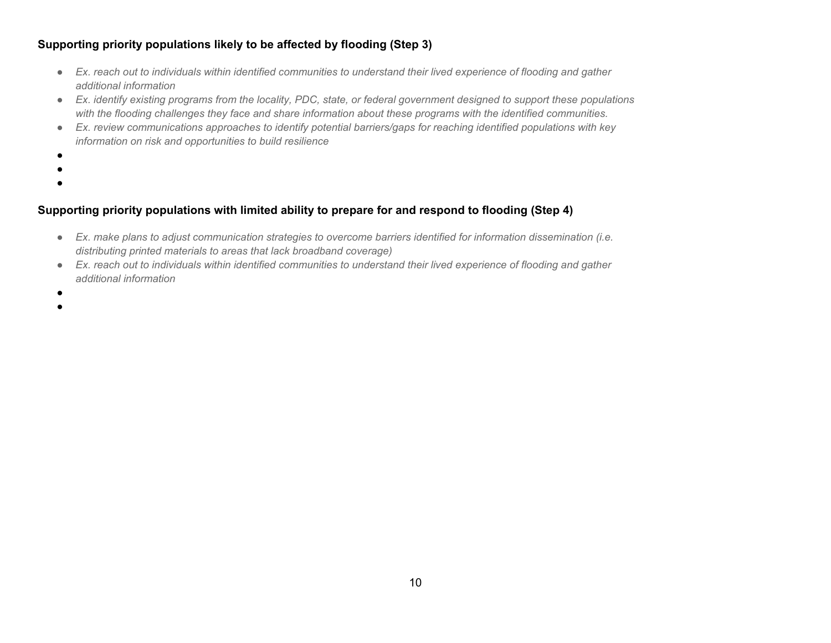# **Supporting priority populations likely to be affected by flooding (Step 3)**

- *Ex. reach out to individuals within identified communities to understand their lived experience of flooding and gather additional information*
- *Ex. identify existing programs from the locality, PDC, state, or federal government designed to support these populations with the flooding challenges they face and share information about these programs with the identified communities.*
- *Ex. review communications approaches to identify potential barriers/gaps for reaching identified populations with key information on risk and opportunities to build resilience*
- ●
- 
- ●

# **Supporting priority populations with limited ability to prepare for and respond to flooding (Step 4)**

- *Ex. make plans to adjust communication strategies to overcome barriers identified for information dissemination (i.e. distributing printed materials to areas that lack broadband coverage)*
- *Ex. reach out to individuals within identified communities to understand their lived experience of flooding and gather additional information*
- ●
- ●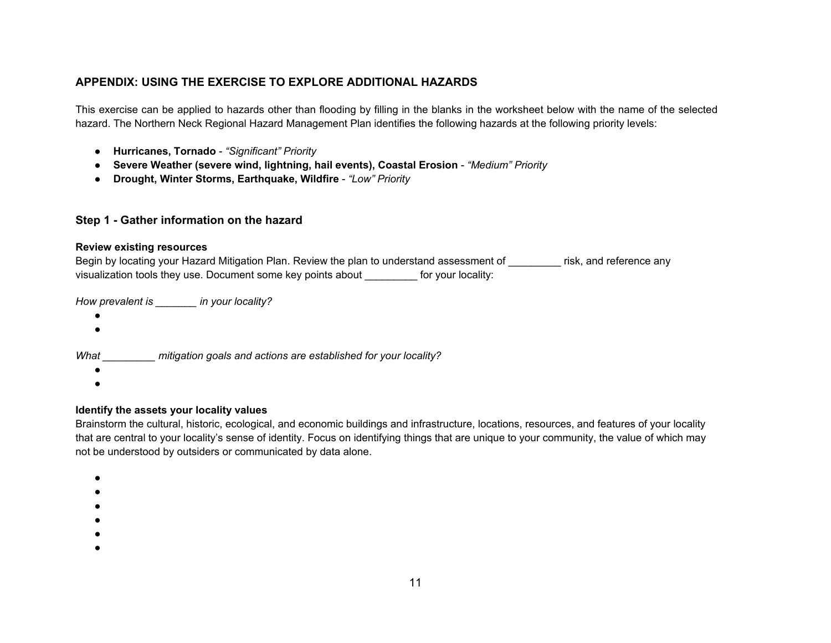## **APPENDIX: USING THE EXERCISE TO EXPLORE ADDITIONAL HAZARDS**

This exercise can be applied to hazards other than flooding by filling in the blanks in the worksheet below with the name of the selected hazard. The Northern Neck Regional Hazard Management Plan identifies the following hazards at the following priority levels:

- **Hurricanes, Tornado** *"Significant" Priority*
- **Severe Weather (severe wind, lightning, hail events), Coastal Erosion** *"Medium" Priority*
- **Drought, Winter Storms, Earthquake, Wildfire** *"Low" Priority*

### **Step 1 - Gather information on the hazard**

#### **Review existing resources**

Begin by locating your Hazard Mitigation Plan. Review the plan to understand assessment of risk, and reference any visualization tools they use. Document some key points about \_\_\_\_\_\_\_\_\_ for your locality:

*How prevalent is \_\_\_\_\_\_\_ in your locality?*

- $\bullet$
- ●

*What \_\_\_\_\_\_\_\_\_ mitigation goals and actions are established for your locality?*

- $\bullet$
- $\bullet$

#### **Identify the assets your locality values**

Brainstorm the cultural, historic, ecological, and economic buildings and infrastructure, locations, resources, and features of your locality that are central to your locality's sense of identity. Focus on identifying things that are unique to your community, the value of which may not be understood by outsiders or communicated by data alone.

- ●
- ●
- ●
- ●
- 
- ●
- ●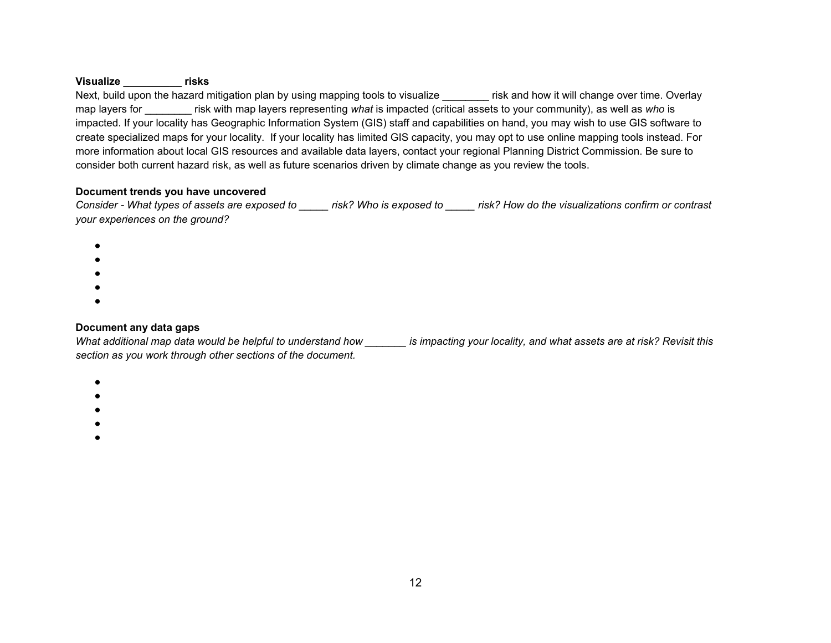#### **Visualize \_\_\_\_\_\_\_\_\_\_ risks**

Next, build upon the hazard mitigation plan by using mapping tools to visualize \_\_\_\_\_\_\_ risk and how it will change over time. Overlay map layers for \_\_\_\_\_\_\_\_ risk with map layers representing *what* is impacted (critical assets to your community), as well as *who* is impacted. If your locality has Geographic Information System (GIS) staff and capabilities on hand, you may wish to use GIS software to create specialized maps for your locality. If your locality has limited GIS capacity, you may opt to use online mapping tools instead. For more information about local GIS resources and available data layers, contact your regional Planning District Commission. Be sure to consider both current hazard risk, as well as future scenarios driven by climate change as you review the tools.

#### **Document trends you have uncovered**

*Consider - What types of assets are exposed to \_\_\_\_\_ risk? Who is exposed to \_\_\_\_\_ risk? How do the visualizations confirm or contrast your experiences on the ground?*

- ●
- ●
- ●
- 
- ●
- ●

### **Document any data gaps**

*What additional map data would be helpful to understand how \_\_\_\_\_\_\_ is impacting your locality, and what assets are at risk? Revisit this section as you work through other sections of the document.* 

- ●
- 
- ●
- ●
- ●
- ●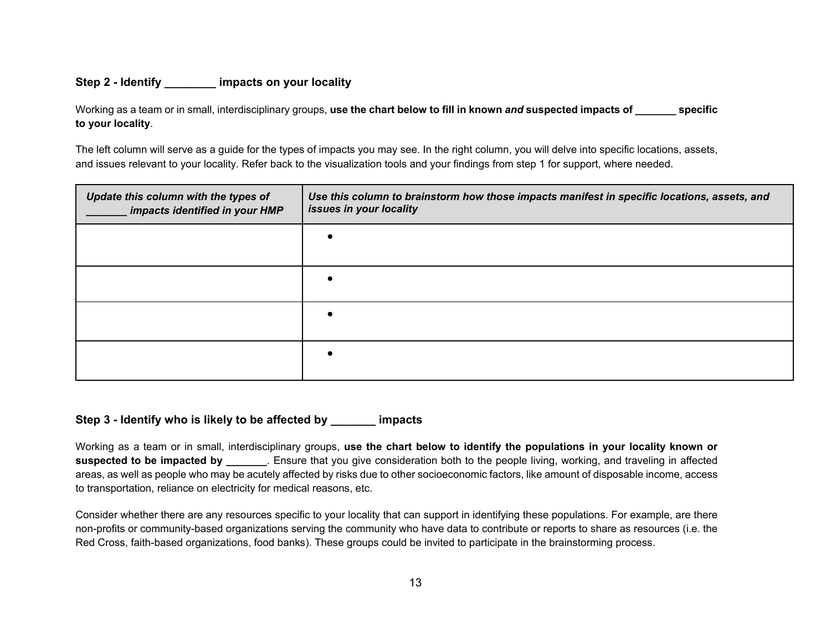## **Step 2 - Identify \_\_\_\_\_\_\_\_ impacts on your locality**

Working as a team or in small, interdisciplinary groups, **use the chart below to fill in known** *and* **suspected impacts of \_\_\_\_\_\_\_ specific to your locality**.

The left column will serve as a guide for the types of impacts you may see. In the right column, you will delve into specific locations, assets, and issues relevant to your locality. Refer back to the visualization tools and your findings from step 1 for support, where needed.

| Update this column with the types of<br>impacts identified in your HMP | Use this column to brainstorm how those impacts manifest in specific locations, assets, and<br>issues in your locality |
|------------------------------------------------------------------------|------------------------------------------------------------------------------------------------------------------------|
|                                                                        |                                                                                                                        |
|                                                                        |                                                                                                                        |
|                                                                        |                                                                                                                        |
|                                                                        |                                                                                                                        |

### **Step 3 - Identify who is likely to be affected by \_\_\_\_\_\_\_ impacts**

Working as a team or in small, interdisciplinary groups, **use the chart below to identify the populations in your locality known or suspected to be impacted by \_\_\_\_\_\_\_**. Ensure that you give consideration both to the people living, working, and traveling in affected areas, as well as people who may be acutely affected by risks due to other socioeconomic factors, like amount of disposable income, access to transportation, reliance on electricity for medical reasons, etc.

Consider whether there are any resources specific to your locality that can support in identifying these populations. For example, are there non-profits or community-based organizations serving the community who have data to contribute or reports to share as resources (i.e. the Red Cross, faith-based organizations, food banks). These groups could be invited to participate in the brainstorming process.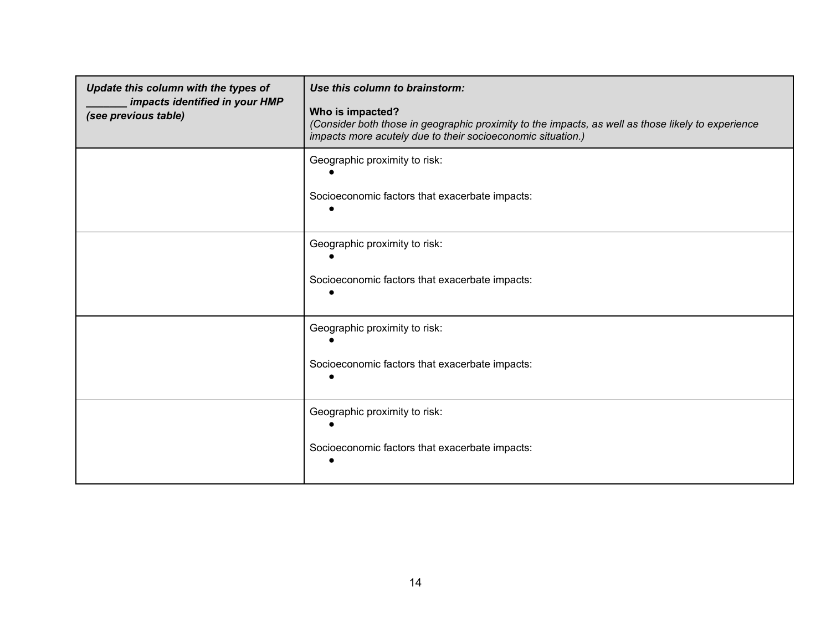| Update this column with the types of<br>impacts identified in your HMP<br>(see previous table) | Use this column to brainstorm:<br>Who is impacted?<br>(Consider both those in geographic proximity to the impacts, as well as those likely to experience<br>impacts more acutely due to their socioeconomic situation.) |
|------------------------------------------------------------------------------------------------|-------------------------------------------------------------------------------------------------------------------------------------------------------------------------------------------------------------------------|
|                                                                                                | Geographic proximity to risk:<br>Socioeconomic factors that exacerbate impacts:                                                                                                                                         |
|                                                                                                | Geographic proximity to risk:<br>Socioeconomic factors that exacerbate impacts:                                                                                                                                         |
|                                                                                                | Geographic proximity to risk:<br>Socioeconomic factors that exacerbate impacts:                                                                                                                                         |
|                                                                                                | Geographic proximity to risk:<br>Socioeconomic factors that exacerbate impacts:                                                                                                                                         |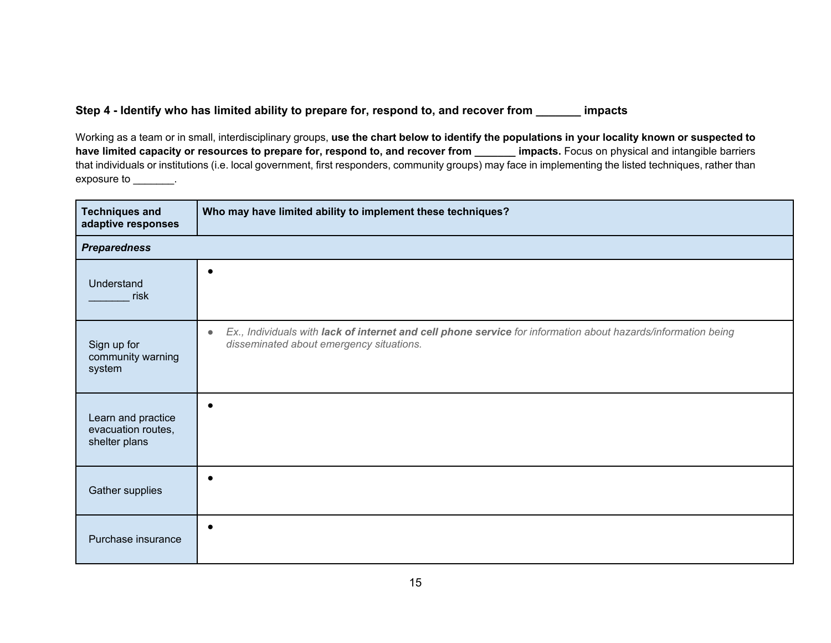# **Step 4 - Identify who has limited ability to prepare for, respond to, and recover from \_\_\_\_\_\_\_ impacts**

Working as a team or in small, interdisciplinary groups, **use the chart below to identify the populations in your locality known or suspected to**  have limited capacity or resources to prepare for, respond to, and recover from \_\_\_\_\_\_ impacts. Focus on physical and intangible barriers that individuals or institutions (i.e. local government, first responders, community groups) may face in implementing the listed techniques, rather than exposure to \_\_\_\_\_\_\_\_.

| <b>Techniques and</b><br>adaptive responses               | Who may have limited ability to implement these techniques?                                                                                                            |
|-----------------------------------------------------------|------------------------------------------------------------------------------------------------------------------------------------------------------------------------|
| <b>Preparedness</b>                                       |                                                                                                                                                                        |
| Understand<br>risk                                        |                                                                                                                                                                        |
| Sign up for<br>community warning<br>system                | Ex., Individuals with lack of internet and cell phone service for information about hazards/information being<br>$\bullet$<br>disseminated about emergency situations. |
| Learn and practice<br>evacuation routes,<br>shelter plans |                                                                                                                                                                        |
| Gather supplies                                           |                                                                                                                                                                        |
| Purchase insurance                                        |                                                                                                                                                                        |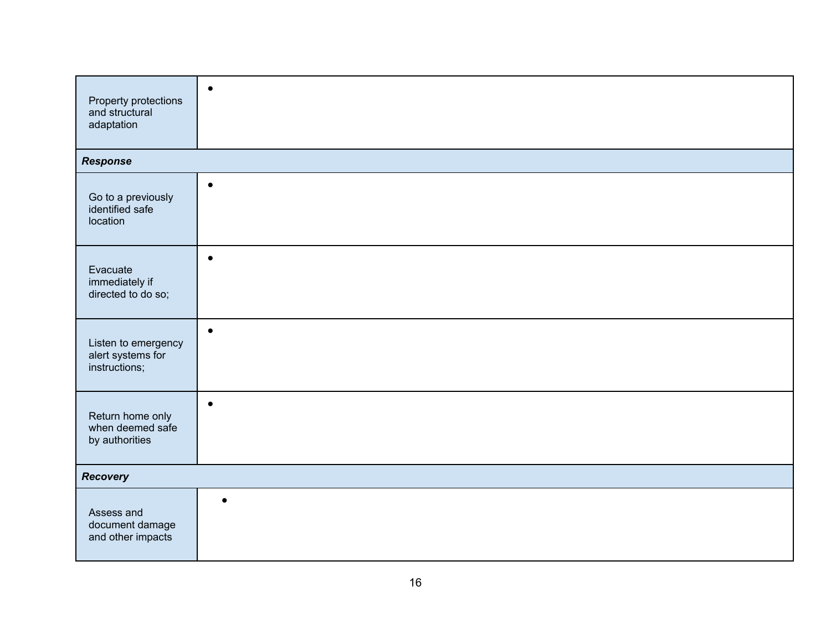| Property protections<br>and structural<br>adaptation      | $\bullet$ |
|-----------------------------------------------------------|-----------|
| <b>Response</b>                                           |           |
| Go to a previously<br>identified safe<br>location         | $\bullet$ |
| Evacuate<br>immediately if<br>directed to do so;          | $\bullet$ |
| Listen to emergency<br>alert systems for<br>instructions; | $\bullet$ |
| Return home only<br>when deemed safe<br>by authorities    | $\bullet$ |
| <b>Recovery</b>                                           |           |
| Assess and<br>document damage<br>and other impacts        | $\bullet$ |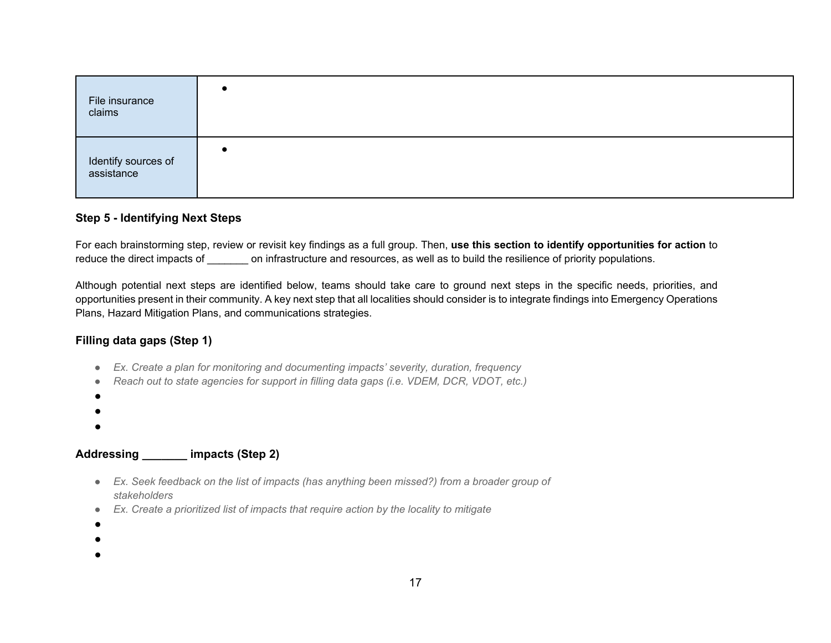| File insurance<br>claims |  |
|--------------------------|--|
| Identify sources of      |  |

## **Step 5 - Identifying Next Steps**

For each brainstorming step, review or revisit key findings as a full group. Then, **use this section to identify opportunities for action** to reduce the direct impacts of on infrastructure and resources, as well as to build the resilience of priority populations.

Although potential next steps are identified below, teams should take care to ground next steps in the specific needs, priorities, and opportunities present in their community. A key next step that all localities should consider is to integrate findings into Emergency Operations Plans, Hazard Mitigation Plans, and communications strategies.

# **Filling data gaps (Step 1)**

- *Ex. Create a plan for monitoring and documenting impacts' severity, duration, frequency*
- *Reach out to state agencies for support in filling data gaps (i.e. VDEM, DCR, VDOT, etc.)*
- $\bullet$
- ●
- $\bullet$

# **Addressing \_\_\_\_\_\_\_ impacts (Step 2)**

- *Ex. Seek feedback on the list of impacts (has anything been missed?) from a broader group of stakeholders*
- *Ex. Create a prioritized list of impacts that require action by the locality to mitigate*
- ●
- ●
- 
- $\bullet$